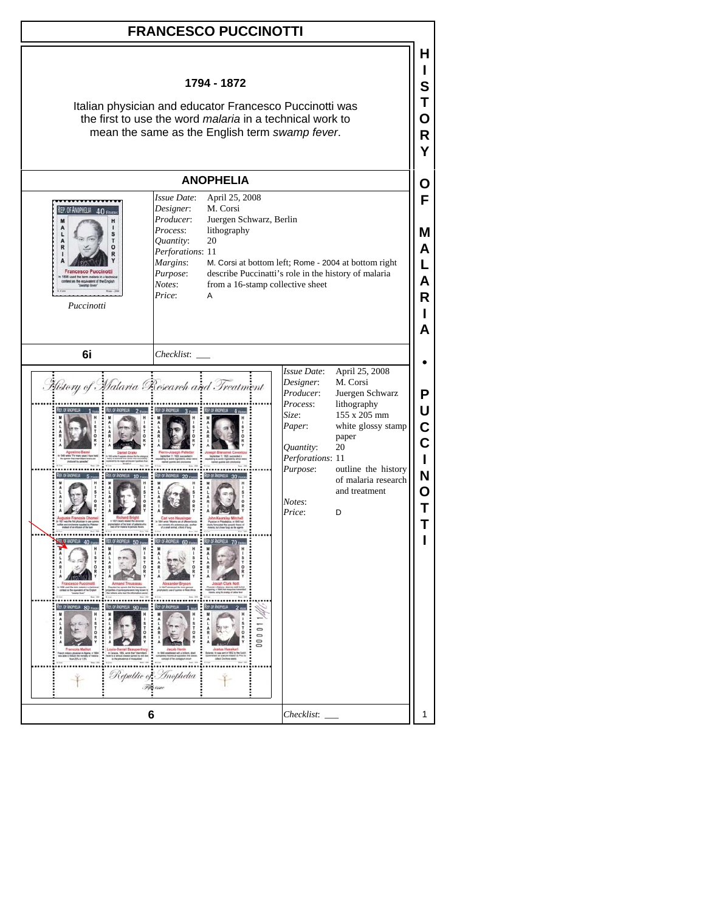